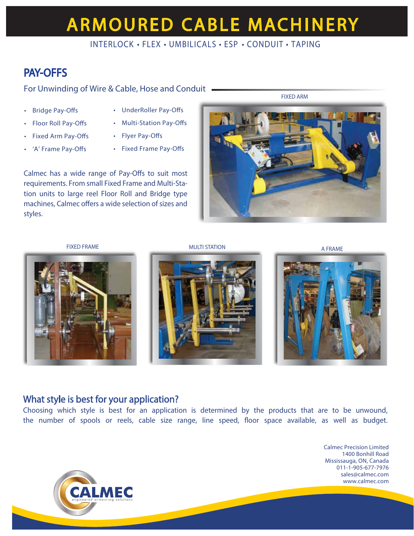# **ARMOURED CABLE MACHINERY**

### INTERLOCK • FLEX • UMBILICALS • ESP • CONDUIT • TAPING

## PAY-OFFS

For Unwinding of Wire & Cable, Hose and Conduit

- Bridge Pay-Offs
- Floor Roll Pay-Offs
- Fixed Arm Pay-Offs
- 'A' Frame Pay-Offs
- UnderRoller Pay-Offs
- Multi-Station Pay-Offs
- Flyer Pay-Offs
- Fixed Frame Pay-Offs

Calmec has a wide range of Pay-Offs to suit most requirements. From small Fixed Frame and Multi-Station units to large reel Floor Roll and Bridge type machines, Calmec offers a wide selection of sizes and styles.



FIXED ARM



FIXED FRAME A RESOLUTION A FRAME A RESOLUTION A FRAME





### What style is best for your application?

Choosing which style is best for an application is determined by the products that are to be unwound, the number of spools or reels, cable size range, line speed, floor space available, as well as budget.

**CALMEC** 

Calmec Precision Limited 1400 Bonhill Road Mississauga, ON, Canada 011-1-905-677-7976 sales@calmec.com www.calmec.com